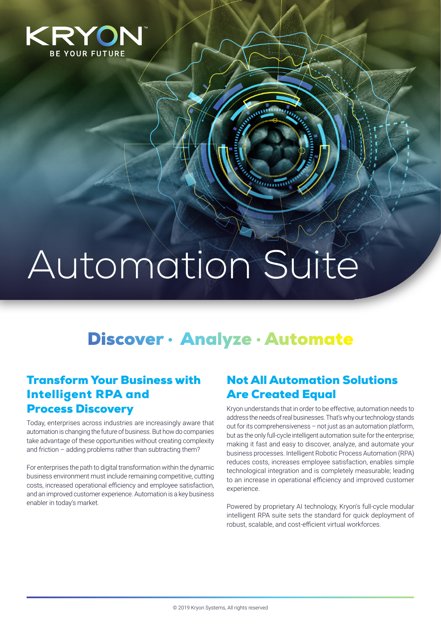

# Automation Suite

# Discover • Analyze • Automate

 $n_{\rm mm}$ 

### Transform Your Business with Intelligent RPA and Process Discovery

Today, enterprises across industries are increasingly aware that automation is changing the future of business. But how do companies take advantage of these opportunities without creating complexity and friction – adding problems rather than subtracting them?

For enterprises the path to digital transformation within the dynamic business environment must include remaining competitive, cutting costs, increased operational efficiency and employee satisfaction, and an improved customer experience. Automation is a key business enabler in today's market.

#### Not All Automation Solutions Are Created Equal

Kryon understands that in order to be effective, automation needs to address the needs of real businesses. That's why our technology stands out for its comprehensiveness – not just as an automation platform, but as the only full-cycle intelligent automation suite for the enterprise; making it fast and easy to discover, analyze, and automate your business processes. Intelligent Robotic Process Automation (RPA) reduces costs, increases employee satisfaction, enables simple technological integration and is completely measurable; leading to an increase in operational efficiency and improved customer experience.

Powered by proprietary AI technology, Kryon's full-cycle modular intelligent RPA suite sets the standard for quick deployment of robust, scalable, and cost-efficient virtual workforces.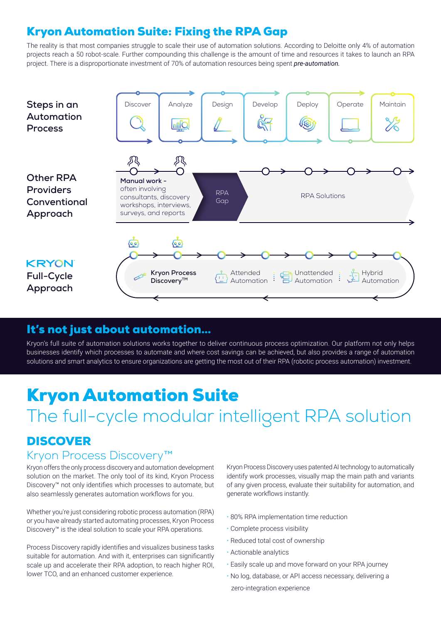## Kryon Automation Suite: Fixing the RPA Gap

The reality is that most companies struggle to scale their use of automation solutions. According to Deloitte only 4% of automation projects reach a 50 robot-scale. Further compounding this challenge is the amount of time and resources it takes to launch an RPA project. There is a disproportionate investment of 70% of automation resources being spent *pre-automation.*



#### It's not just about automation…

Kryon's full suite of automation solutions works together to deliver continuous process optimization. Our platform not only helps businesses identify which processes to automate and where cost savings can be achieved, but also provides a range of automation solutions and smart analytics to ensure organizations are getting the most out of their RPA (robotic process automation) investment.

# Kryon Automation Suite

# The full-cycle modular intelligent RPA solution

## DISCOVER

#### Kryon Process Discovery™

Kryon offers the only process discovery and automation development solution on the market. The only tool of its kind, Kryon Process Discovery™ not only identifies which processes to automate, but also seamlessly generates automation workflows for you.

Whether you're just considering robotic process automation (RPA) or you have already started automating processes, Kryon Process Discovery™ is the ideal solution to scale your RPA operations.

Process Discovery rapidly identifies and visualizes business tasks suitable for automation. And with it, enterprises can significantly scale up and accelerate their RPA adoption, to reach higher ROI, lower TCO, and an enhanced customer experience.

Kryon Process Discovery uses patented AI technology to automatically identify work processes, visually map the main path and variants of any given process, evaluate their suitability for automation, and generate workflows instantly.

- 80% RPA implementation time reduction
- Complete process visibility
- Reduced total cost of ownership
- Actionable analytics
- Easily scale up and move forward on your RPA journey
- No log, database, or API access necessary, delivering a zero-integration experience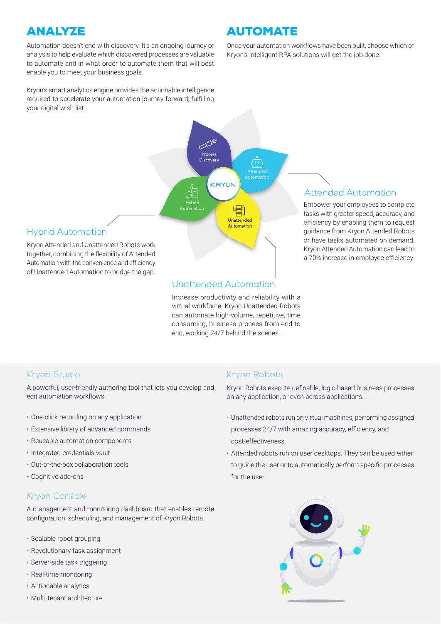## **ANALYZE**

Automation doesn't end with discovery. It's an ongoing journey of analysis to help evaluate which discovered processes are valuable to automate and in what order to automate them that will best enable you to meet your business goals.

Kryon's smart analytics engine provides the actionable intelligence required to accelerate your automation journey forward, fulfilling your digital wish list.

## AUTOMATE

Once your automation workflows have been built, choose which of Kryon's intelligent RPA solutions will get the job done.



#### Attended Automation

Empower your employees to complete tasks with greater speed, accuracy, and efficiency by enabling them to request guidance from Kryon Attended Robots or have tasks automated on demand. Kryon Attended Automation can lead to a 70% increase in employee efficiency.

#### Hybrid Automation

Kryon Attended and Unattended Robots work together, combining the flexibility of Attended Automation with the convenience and efficiency of Unattended Automation to bridge the gap.

#### Unattended Automation

Increase productivity and reliability with a virtual workforce. Kryon Unattended Robots can automate high-volume, repetitive, time consuming, business process from end to end, working 24/7 behind the scenes.

#### Kryon Studio

A powerful, user-friendly authoring tool that lets you develop and edit automation workflows.

- One-click recording on any application
- Extensive library of advanced commands
- Reusable automation components
- Integrated credentials vault
- Out-of-the-box collaboration tools
- Cognitive add-ons

#### Kryon Console

A management and monitoring dashboard that enables remote configuration, scheduling, and management of Kryon Robots.

- Scalable robot grouping
- Revolutionary task assignment
- Server-side task triggering
- Real-time monitoring
- Actionable analytics
- Multi-tenant architecture

#### Kryon Robots

Kryon Robots execute definable, logic-based business processes on any application, or even across applications.

- Unattended robots run on virtual machines, performing assigned processes 24/7 with amazing accuracy, efficiency, and cost-effectiveness.
- Attended robots run on user desktops. They can be used either to guide the user or to automatically perform specific processes for the user.